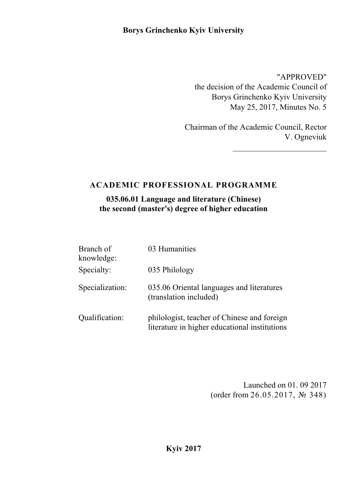# **Borys Grinchenko Kyiv University**

"APPROVED" the decision of the Academic Council of Borys Grinchenko Kyiv University May 25, 2017, Minutes No. 5

Chairman of the Academic Council, Rector V. Ogneviuk

# **ACADEMIC PROFESSIONAL PROGRAMME**

**035.06.01 Language and literature (Chinese) the second (master's) degree of higher education**

| Branch of<br>knowledge: | 03 Humanities                                                                                |
|-------------------------|----------------------------------------------------------------------------------------------|
| Specialty:              | 035 Philology                                                                                |
| Specialization:         | 035.06 Oriental languages and literatures<br>(translation included)                          |
| Qualification:          | philologist, teacher of Chinese and foreign<br>literature in higher educational institutions |

Launched on 01. 09 2017 (order from 26.05.2017, № 348)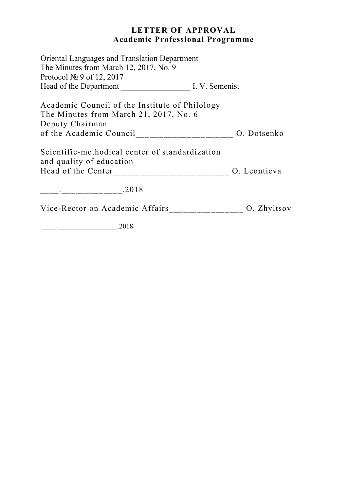# **LETTER OF APPROVAL Academic Professional Programme**

| <b>Oriental Languages and Translation Department</b><br>The Minutes from March 12, 2017, No. 9<br>Protocol $\mathbb{N}^{\circ}$ 9 of 12, 2017    |  |
|--------------------------------------------------------------------------------------------------------------------------------------------------|--|
| Head of the Department I. V. Semenist                                                                                                            |  |
| Academic Council of the Institute of Philology<br>The Minutes from March 21, 2017, No. 6<br>Deputy Chairman                                      |  |
| of the Academic Council________________________ O. Dotsenko                                                                                      |  |
| Scientific-methodical center of standardization<br>and quality of education<br>Head of the Center__________________________________ O. Leontieva |  |
|                                                                                                                                                  |  |
| Vice-Rector on Academic Affairs________________ O. Zhyltsov                                                                                      |  |

\_\_\_\_.\_\_\_\_\_\_\_\_\_\_\_\_\_\_\_\_\_.2018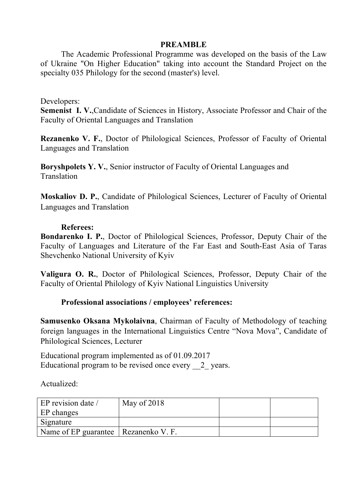#### **PREAMBLE**

The Academic Professional Programme was developed on the basis of the Law of Ukraine "On Higher Education" taking into account the Standard Project on the specialty 035 Philology for the second (master's) level.

#### Developers:

**Semenist I. V.**,Candidate of Sciences in History, Associate Professor and Chair of the Faculty of Oriental Languages and Translation

**Rezanenko V. F.**, Doctor of Philological Sciences, Professor of Faculty of Oriental Languages and Translation

**Boryshpolets Y. V.**, Senior instructor of Faculty of Oriental Languages and **Translation** 

**Moskaliov D. P.**, Candidate of Philological Sciences, Lecturer of Faculty of Oriental Languages and Translation

#### **Referees:**

**Bondarenko I. P.**, Doctor of Philological Sciences, Professor, Deputy Chair of the Faculty of Languages and Literature of the Far East and South-East Asia of Taras Shevchenko National University of Kyiv

**Valigura O. R.**, Doctor of Philological Sciences, Professor, Deputy Chair of the Faculty of Oriental Philology of Kyiv National Linguistics University

### **Professional associations / employees' references:**

**Samusenko Oksana Mykolaivna**, Chairman of Faculty of Methodology of teaching foreign languages in the International Linguistics Centre "Nova Mova", Candidate of Philological Sciences, Lecturer

Educational program implemented as of 01.09.2017 Educational program to be revised once every 2 years.

Actualized:

| EP revision date /                     | May of $2018$ |  |
|----------------------------------------|---------------|--|
| EP changes                             |               |  |
| Signature                              |               |  |
| Name of EP guarantee   Rezanenko V. F. |               |  |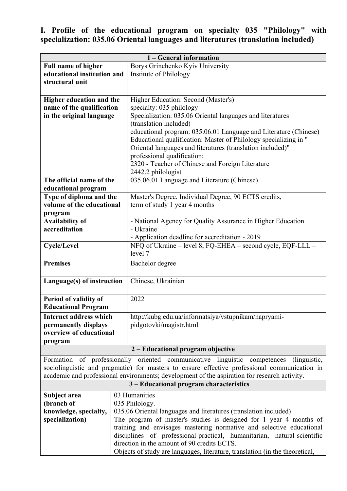# **І. Profile of the educational program on specialty 035 "Philology" with specialization: 035.06 Oriental languages and literatures (translation included)**

| 1 – General information                                                                      |                                                                              |                                                                                                                                        |  |
|----------------------------------------------------------------------------------------------|------------------------------------------------------------------------------|----------------------------------------------------------------------------------------------------------------------------------------|--|
| <b>Full name of higher</b>                                                                   |                                                                              | Borys Grinchenko Kyiv University                                                                                                       |  |
| educational institution and                                                                  |                                                                              | Institute of Philology                                                                                                                 |  |
| structural unit                                                                              |                                                                              |                                                                                                                                        |  |
|                                                                                              |                                                                              |                                                                                                                                        |  |
| Higher education and the                                                                     |                                                                              | Higher Education: Second (Master's)                                                                                                    |  |
| name of the qualification                                                                    |                                                                              | specialty: 035 philology<br>Specialization: 035.06 Oriental languages and literatures                                                  |  |
| in the original language                                                                     |                                                                              | (translation included)                                                                                                                 |  |
|                                                                                              |                                                                              | educational program: 035.06.01 Language and Literature (Chinese)                                                                       |  |
|                                                                                              |                                                                              | Educational qualification: Master of Philology specializing in "                                                                       |  |
|                                                                                              |                                                                              | Oriental languages and literatures (translation included)"                                                                             |  |
|                                                                                              |                                                                              | professional qualification:                                                                                                            |  |
|                                                                                              |                                                                              | 2320 - Teacher of Chinese and Foreign Literature                                                                                       |  |
|                                                                                              |                                                                              | 2442.2 philologist                                                                                                                     |  |
| The official name of the                                                                     |                                                                              | 035.06.01 Language and Literature (Chinese)                                                                                            |  |
| educational program                                                                          |                                                                              |                                                                                                                                        |  |
| Type of diploma and the<br>volume of the educational                                         |                                                                              | Master's Degree, Individual Degree, 90 ECTS credits,<br>term of study 1 year 4 months                                                  |  |
| program                                                                                      |                                                                              |                                                                                                                                        |  |
| <b>Availability of</b>                                                                       |                                                                              | - National Agency for Quality Assurance in Higher Education                                                                            |  |
| accreditation                                                                                |                                                                              | - Ukraine                                                                                                                              |  |
|                                                                                              |                                                                              | - Application deadline for accreditation - 2019                                                                                        |  |
| <b>Cycle/Level</b>                                                                           |                                                                              | NFQ of Ukraine – level 8, FQ-EHEA – second cycle, EQF-LLL –                                                                            |  |
|                                                                                              |                                                                              | level 7                                                                                                                                |  |
| <b>Premises</b>                                                                              |                                                                              | Bachelor degree                                                                                                                        |  |
|                                                                                              |                                                                              |                                                                                                                                        |  |
| Language(s) of instruction                                                                   |                                                                              | Chinese, Ukrainian                                                                                                                     |  |
| Period of validity of                                                                        |                                                                              | 2022                                                                                                                                   |  |
| <b>Educational Program</b>                                                                   |                                                                              |                                                                                                                                        |  |
| <b>Internet address which</b>                                                                |                                                                              | http://kubg.edu.ua/informatsiya/vstupnikam/napryami-                                                                                   |  |
| permanently displays                                                                         |                                                                              | pidgotovki/magistr.html                                                                                                                |  |
| overview of educational                                                                      |                                                                              |                                                                                                                                        |  |
| program                                                                                      |                                                                              |                                                                                                                                        |  |
|                                                                                              |                                                                              | 2 – Educational program objective                                                                                                      |  |
|                                                                                              |                                                                              | Formation of professionally oriented communicative linguistic competences<br>(linguistic,                                              |  |
|                                                                                              |                                                                              | sociolinguistic and pragmatic) for masters to ensure effective professional communication in                                           |  |
| academic and professional environments; development of the aspiration for research activity. |                                                                              |                                                                                                                                        |  |
| 3 – Educational program characteristics                                                      |                                                                              |                                                                                                                                        |  |
| Subject area                                                                                 |                                                                              | 03 Humanities                                                                                                                          |  |
| (branch of                                                                                   |                                                                              | 035 Philology.                                                                                                                         |  |
| knowledge, specialty,<br>specialization)                                                     |                                                                              | 035.06 Oriental languages and literatures (translation included)<br>The program of master's studies is designed for 1 year 4 months of |  |
|                                                                                              |                                                                              | training and envisages mastering normative and selective educational                                                                   |  |
|                                                                                              |                                                                              | disciplines of professional-practical, humanitarian, natural-scientific                                                                |  |
|                                                                                              |                                                                              | direction in the amount of 90 credits ECTS.                                                                                            |  |
|                                                                                              | Objects of study are languages, literature, translation (in the theoretical, |                                                                                                                                        |  |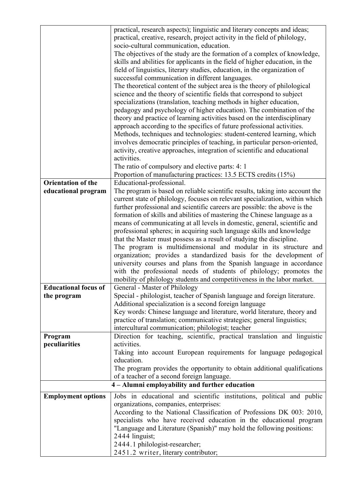|                             | practical, research aspects); linguistic and literary concepts and ideas;                                |  |  |
|-----------------------------|----------------------------------------------------------------------------------------------------------|--|--|
|                             | practical, creative, research, project activity in the field of philology,                               |  |  |
|                             | socio-cultural communication, education.                                                                 |  |  |
|                             | The objectives of the study are the formation of a complex of knowledge,                                 |  |  |
|                             | skills and abilities for applicants in the field of higher education, in the                             |  |  |
|                             | field of linguistics, literary studies, education, in the organization of                                |  |  |
|                             | successful communication in different languages.                                                         |  |  |
|                             | The theoretical content of the subject area is the theory of philological                                |  |  |
|                             | science and the theory of scientific fields that correspond to subject                                   |  |  |
|                             | specializations (translation, teaching methods in higher education,                                      |  |  |
|                             | pedagogy and psychology of higher education). The combination of the                                     |  |  |
|                             | theory and practice of learning activities based on the interdisciplinary                                |  |  |
|                             | approach according to the specifics of future professional activities.                                   |  |  |
|                             | Methods, techniques and technologies: student-centered learning, which                                   |  |  |
|                             | involves democratic principles of teaching, in particular person-oriented,                               |  |  |
|                             | activity, creative approaches, integration of scientific and educational                                 |  |  |
|                             | activities.                                                                                              |  |  |
|                             | The ratio of compulsory and elective parts: 4: 1                                                         |  |  |
|                             | Proportion of manufacturing practices: 13.5 ECTS credits (15%)                                           |  |  |
| <b>Orientation of the</b>   | Educational-professional.                                                                                |  |  |
| educational program         | The program is based on reliable scientific results, taking into account the                             |  |  |
|                             | current state of philology, focuses on relevant specialization, within which                             |  |  |
|                             | further professional and scientific careers are possible: the above is the                               |  |  |
|                             | formation of skills and abilities of mastering the Chinese language as a                                 |  |  |
|                             | means of communicating at all levels in domestic, general, scientific and                                |  |  |
|                             | professional spheres; in acquiring such language skills and knowledge                                    |  |  |
|                             | that the Master must possess as a result of studying the discipline.                                     |  |  |
|                             | The program is multidimensional and modular in its structure and                                         |  |  |
|                             | organization; provides a standardized basis for the development of                                       |  |  |
|                             | university courses and plans from the Spanish language in accordance                                     |  |  |
|                             | with the professional needs of students of philology; promotes the                                       |  |  |
| <b>Educational focus of</b> | mobility of philology students and competitiveness in the labor market.<br>General - Master of Philology |  |  |
| the program                 | Special - philologist, teacher of Spanish language and foreign literature.                               |  |  |
|                             | Additional specialization is a second foreign language                                                   |  |  |
|                             | Key words: Chinese language and literature, world literature, theory and                                 |  |  |
|                             | practice of translation; communicative strategies; general linguistics;                                  |  |  |
|                             | intercultural communication; philologist; teacher                                                        |  |  |
| Program                     | Direction for teaching, scientific, practical translation and linguistic                                 |  |  |
| peculiarities               | activities.                                                                                              |  |  |
|                             | Taking into account European requirements for language pedagogical                                       |  |  |
|                             | education.                                                                                               |  |  |
|                             | The program provides the opportunity to obtain additional qualifications                                 |  |  |
|                             | of a teacher of a second foreign language.                                                               |  |  |
|                             | 4 - Alumni employability and further education                                                           |  |  |
| <b>Employment options</b>   | Jobs in educational and scientific institutions, political and public                                    |  |  |
|                             | organizations, companies, enterprises:                                                                   |  |  |
|                             | According to the National Classification of Professions DK 003: 2010,                                    |  |  |
|                             | specialists who have received education in the educational program                                       |  |  |
|                             | "Language and Literature (Spanish)" may hold the following positions:                                    |  |  |
|                             | 2444 linguist;                                                                                           |  |  |
|                             | 2444.1 philologist-researcher;                                                                           |  |  |
|                             | 2451.2 writer, literary contributor;                                                                     |  |  |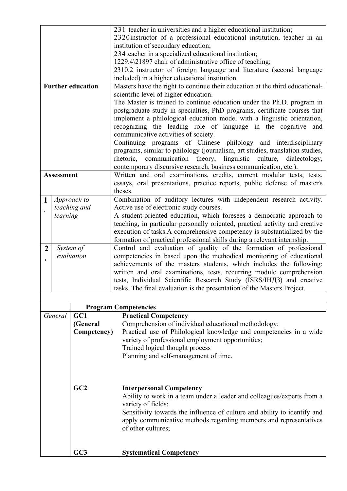|                 |                   |                          | 231 teacher in universities and a higher educational institution;                                                                                                                                                                                                                                                                                                                                                                                                                                                                                                              |  |  |
|-----------------|-------------------|--------------------------|--------------------------------------------------------------------------------------------------------------------------------------------------------------------------------------------------------------------------------------------------------------------------------------------------------------------------------------------------------------------------------------------------------------------------------------------------------------------------------------------------------------------------------------------------------------------------------|--|--|
|                 |                   |                          | 2320 instructor of a professional educational institution, teacher in an                                                                                                                                                                                                                                                                                                                                                                                                                                                                                                       |  |  |
|                 |                   |                          | institution of secondary education;                                                                                                                                                                                                                                                                                                                                                                                                                                                                                                                                            |  |  |
|                 |                   |                          | 234 teacher in a specialized educational institution;                                                                                                                                                                                                                                                                                                                                                                                                                                                                                                                          |  |  |
|                 |                   |                          | 1229.4\21897 chair of administrative office of teaching;                                                                                                                                                                                                                                                                                                                                                                                                                                                                                                                       |  |  |
|                 |                   |                          | 2310.2 instructor of foreign language and literature (second language                                                                                                                                                                                                                                                                                                                                                                                                                                                                                                          |  |  |
|                 |                   |                          | included) in a higher educational institution.                                                                                                                                                                                                                                                                                                                                                                                                                                                                                                                                 |  |  |
|                 |                   | <b>Further education</b> | Masters have the right to continue their education at the third educational-                                                                                                                                                                                                                                                                                                                                                                                                                                                                                                   |  |  |
|                 |                   |                          | scientific level of higher education.                                                                                                                                                                                                                                                                                                                                                                                                                                                                                                                                          |  |  |
|                 |                   |                          | The Master is trained to continue education under the Ph.D. program in<br>postgraduate study in specialties, PhD programs, certificate courses that<br>implement a philological education model with a linguistic orientation,<br>recognizing the leading role of language in the cognitive and<br>communicative activities of society.<br>Continuing programs of Chinese philology and interdisciplinary<br>programs, similar to philology (journalism, art studies, translation studies,<br>communication<br>theory,<br>linguistic<br>culture,<br>rhetoric,<br>dialectology, |  |  |
|                 |                   |                          | contemporary discursive research, business communication, etc.).                                                                                                                                                                                                                                                                                                                                                                                                                                                                                                               |  |  |
|                 | <b>Assessment</b> |                          | Written and oral examinations, credits, current modular tests, tests,<br>essays, oral presentations, practice reports, public defense of master's<br>theses.                                                                                                                                                                                                                                                                                                                                                                                                                   |  |  |
| 1               |                   | Approach to              | Combination of auditory lectures with independent research activity.                                                                                                                                                                                                                                                                                                                                                                                                                                                                                                           |  |  |
|                 |                   | teaching and             | Active use of electronic study courses.                                                                                                                                                                                                                                                                                                                                                                                                                                                                                                                                        |  |  |
|                 | learning          |                          | A student-oriented education, which foresees a democratic approach to                                                                                                                                                                                                                                                                                                                                                                                                                                                                                                          |  |  |
|                 |                   |                          | teaching, in particular personally oriented, practical activity and creative                                                                                                                                                                                                                                                                                                                                                                                                                                                                                                   |  |  |
|                 |                   |                          | execution of tasks. A comprehensive competency is substantialized by the                                                                                                                                                                                                                                                                                                                                                                                                                                                                                                       |  |  |
|                 |                   |                          | formation of practical professional skills during a relevant internship.                                                                                                                                                                                                                                                                                                                                                                                                                                                                                                       |  |  |
| $\overline{2}$  |                   | System of                | Control and evaluation of quality of the formation of professional                                                                                                                                                                                                                                                                                                                                                                                                                                                                                                             |  |  |
|                 |                   | evaluation               | competencies in based upon the methodical monitoring of educational                                                                                                                                                                                                                                                                                                                                                                                                                                                                                                            |  |  |
|                 |                   |                          | achievements of the masters students, which includes the following:                                                                                                                                                                                                                                                                                                                                                                                                                                                                                                            |  |  |
|                 |                   |                          | written and oral examinations, tests, recurring module comprehension                                                                                                                                                                                                                                                                                                                                                                                                                                                                                                           |  |  |
|                 |                   |                          | tests, Individual Scientific Research Study (ISRS/IHДЗ) and creative<br>tasks. The final evaluation is the presentation of the Masters Project.                                                                                                                                                                                                                                                                                                                                                                                                                                |  |  |
|                 |                   |                          |                                                                                                                                                                                                                                                                                                                                                                                                                                                                                                                                                                                |  |  |
|                 |                   |                          |                                                                                                                                                                                                                                                                                                                                                                                                                                                                                                                                                                                |  |  |
|                 |                   |                          | <b>Program Competencies</b>                                                                                                                                                                                                                                                                                                                                                                                                                                                                                                                                                    |  |  |
|                 | General           | GC1                      | <b>Practical Competency</b>                                                                                                                                                                                                                                                                                                                                                                                                                                                                                                                                                    |  |  |
|                 |                   | (General                 | Comprehension of individual educational methodology;                                                                                                                                                                                                                                                                                                                                                                                                                                                                                                                           |  |  |
|                 |                   | Competency)              | Practical use of Philological knowledge and competencies in a wide                                                                                                                                                                                                                                                                                                                                                                                                                                                                                                             |  |  |
|                 |                   |                          | variety of professional employment opportunities;                                                                                                                                                                                                                                                                                                                                                                                                                                                                                                                              |  |  |
|                 |                   |                          | Trained logical thought process                                                                                                                                                                                                                                                                                                                                                                                                                                                                                                                                                |  |  |
|                 |                   |                          | Planning and self-management of time.                                                                                                                                                                                                                                                                                                                                                                                                                                                                                                                                          |  |  |
|                 |                   |                          |                                                                                                                                                                                                                                                                                                                                                                                                                                                                                                                                                                                |  |  |
|                 |                   |                          |                                                                                                                                                                                                                                                                                                                                                                                                                                                                                                                                                                                |  |  |
|                 |                   | GC2                      |                                                                                                                                                                                                                                                                                                                                                                                                                                                                                                                                                                                |  |  |
|                 |                   |                          | <b>Interpersonal Competency</b><br>Ability to work in a team under a leader and colleagues/experts from a                                                                                                                                                                                                                                                                                                                                                                                                                                                                      |  |  |
|                 |                   |                          | variety of fields;                                                                                                                                                                                                                                                                                                                                                                                                                                                                                                                                                             |  |  |
|                 |                   |                          | Sensitivity towards the influence of culture and ability to identify and                                                                                                                                                                                                                                                                                                                                                                                                                                                                                                       |  |  |
|                 |                   |                          | apply communicative methods regarding members and representatives                                                                                                                                                                                                                                                                                                                                                                                                                                                                                                              |  |  |
|                 |                   |                          | of other cultures;                                                                                                                                                                                                                                                                                                                                                                                                                                                                                                                                                             |  |  |
|                 |                   |                          |                                                                                                                                                                                                                                                                                                                                                                                                                                                                                                                                                                                |  |  |
|                 |                   |                          |                                                                                                                                                                                                                                                                                                                                                                                                                                                                                                                                                                                |  |  |
| GC <sub>3</sub> |                   |                          | <b>Systematical Competency</b>                                                                                                                                                                                                                                                                                                                                                                                                                                                                                                                                                 |  |  |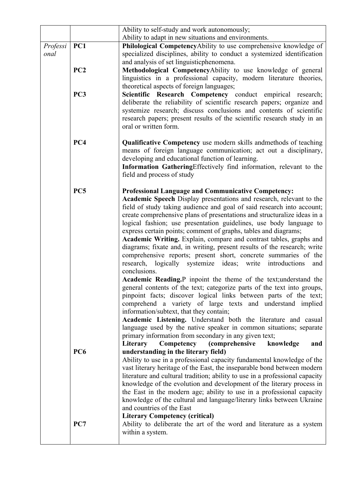|                                   |                 | Ability to self-study and work autonomously;                                                                                                                                                                                                                                                                                                                                                                                                                                                                                                                                                                                                                                                                                                                                                                                                                                                                                                                                                                                                                                                                                                                                                                                                                                                                                                     |  |
|-----------------------------------|-----------------|--------------------------------------------------------------------------------------------------------------------------------------------------------------------------------------------------------------------------------------------------------------------------------------------------------------------------------------------------------------------------------------------------------------------------------------------------------------------------------------------------------------------------------------------------------------------------------------------------------------------------------------------------------------------------------------------------------------------------------------------------------------------------------------------------------------------------------------------------------------------------------------------------------------------------------------------------------------------------------------------------------------------------------------------------------------------------------------------------------------------------------------------------------------------------------------------------------------------------------------------------------------------------------------------------------------------------------------------------|--|
|                                   |                 | Ability to adapt in new situations and environments.                                                                                                                                                                                                                                                                                                                                                                                                                                                                                                                                                                                                                                                                                                                                                                                                                                                                                                                                                                                                                                                                                                                                                                                                                                                                                             |  |
| Professi<br>onal                  | PC1             | Philological CompetencyAbility to use comprehensive knowledge of<br>specialized disciplines, ability to conduct a systemized identification<br>and analysis of set linguisticphenomena.                                                                                                                                                                                                                                                                                                                                                                                                                                                                                                                                                                                                                                                                                                                                                                                                                                                                                                                                                                                                                                                                                                                                                          |  |
|                                   | PC <sub>2</sub> | Methodological CompetencyAbility to use knowledge of general<br>linguistics in a professional capacity, modern literature theories,<br>theoretical aspects of foreign languages;                                                                                                                                                                                                                                                                                                                                                                                                                                                                                                                                                                                                                                                                                                                                                                                                                                                                                                                                                                                                                                                                                                                                                                 |  |
|                                   | PC <sub>3</sub> | Scientific Research Competency conduct empirical research;<br>deliberate the reliability of scientific research papers; organize and<br>systemize research; discuss conclusions and contents of scientific<br>research papers; present results of the scientific research study in an<br>oral or written form.                                                                                                                                                                                                                                                                                                                                                                                                                                                                                                                                                                                                                                                                                                                                                                                                                                                                                                                                                                                                                                   |  |
| PC4<br>field and process of study |                 | <b>Qualificative Competency</b> use modern skills and methods of teaching<br>means of foreign language communication; act out a disciplinary,<br>developing and educational function of learning.<br>Information GatheringEffectively find information, relevant to the                                                                                                                                                                                                                                                                                                                                                                                                                                                                                                                                                                                                                                                                                                                                                                                                                                                                                                                                                                                                                                                                          |  |
|                                   | PC5             | <b>Professional Language and Communicative Competency:</b><br>Academic Speech Display presentations and research, relevant to the<br>field of study taking audience and goal of said research into account;<br>create comprehensive plans of presentations and structuralize ideas in a<br>logical fashion; use presentation guidelines, use body language to<br>express certain points; comment of graphs, tables and diagrams;<br>Academic Writing. Explain, compare and contrast tables, graphs and<br>diagrams; fixate and, in writing, present results of the research; write<br>comprehensive reports; present short, concrete summaries of the<br>research, logically systemize ideas; write<br>introductions<br>and<br>conclusions.<br>Academic Reading, P inpoint the theme of the text; understand the<br>general contents of the text; categorize parts of the text into groups,<br>pinpoint facts; discover logical links between parts of the text;<br>comprehend a variety of large texts and understand implied<br>information/subtext, that they contain;<br>Academic Listening. Understand both the literature and casual<br>language used by the native speaker in common situations; separate<br>primary information from secondary in any given text;<br>Literary<br>Competency<br><i>(comprehensive</i><br>knowledge<br>and |  |
|                                   | PC <sub>6</sub> | understanding in the literary field)<br>Ability to use in a professional capacity fundamental knowledge of the<br>vast literary heritage of the East, the inseparable bond between modern<br>literature and cultural tradition; ability to use in a professional capacity<br>knowledge of the evolution and development of the literary process in<br>the East in the modern age; ability to use in a professional capacity<br>knowledge of the cultural and language/literary links between Ukraine<br>and countries of the East<br><b>Literary Competency (critical)</b>                                                                                                                                                                                                                                                                                                                                                                                                                                                                                                                                                                                                                                                                                                                                                                       |  |
| PC7<br>within a system.           |                 | Ability to deliberate the art of the word and literature as a system                                                                                                                                                                                                                                                                                                                                                                                                                                                                                                                                                                                                                                                                                                                                                                                                                                                                                                                                                                                                                                                                                                                                                                                                                                                                             |  |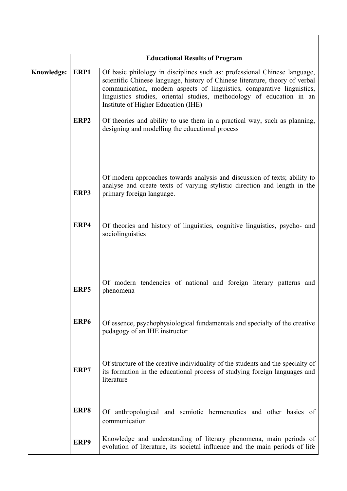|                                                                                                                       | <b>Educational Results of Program</b>                                                                          |                                                                                                                                                                                                                                                                                                                                                                                                                                              |  |
|-----------------------------------------------------------------------------------------------------------------------|----------------------------------------------------------------------------------------------------------------|----------------------------------------------------------------------------------------------------------------------------------------------------------------------------------------------------------------------------------------------------------------------------------------------------------------------------------------------------------------------------------------------------------------------------------------------|--|
| ERP1<br>Knowledge:<br>Institute of Higher Education (IHE)<br>ERP <sub>2</sub>                                         |                                                                                                                | Of basic philology in disciplines such as: professional Chinese language,<br>scientific Chinese language, history of Chinese literature, theory of verbal<br>communication, modern aspects of linguistics, comparative linguistics,<br>linguistics studies, oriental studies, methodology of education in an<br>Of theories and ability to use them in a practical way, such as planning,<br>designing and modelling the educational process |  |
|                                                                                                                       |                                                                                                                | Of modern approaches towards analysis and discussion of texts; ability to                                                                                                                                                                                                                                                                                                                                                                    |  |
|                                                                                                                       | analyse and create texts of varying stylistic direction and length in the<br>ERP3<br>primary foreign language. |                                                                                                                                                                                                                                                                                                                                                                                                                                              |  |
|                                                                                                                       | ERP4                                                                                                           | Of theories and history of linguistics, cognitive linguistics, psycho- and<br>sociolinguistics                                                                                                                                                                                                                                                                                                                                               |  |
| ERP5<br>phenomena<br>ERP <sub>6</sub><br>pedagogy of an IHE instructor<br>ERP7<br>literature<br>ERP8<br>communication |                                                                                                                | Of modern tendencies of national and foreign literary patterns and                                                                                                                                                                                                                                                                                                                                                                           |  |
|                                                                                                                       |                                                                                                                | Of essence, psychophysiological fundamentals and specialty of the creative                                                                                                                                                                                                                                                                                                                                                                   |  |
|                                                                                                                       |                                                                                                                | Of structure of the creative individuality of the students and the specialty of<br>its formation in the educational process of studying foreign languages and                                                                                                                                                                                                                                                                                |  |
|                                                                                                                       |                                                                                                                | Of anthropological and semiotic hermeneutics and other basics of                                                                                                                                                                                                                                                                                                                                                                             |  |
|                                                                                                                       | ERP9                                                                                                           | Knowledge and understanding of literary phenomena, main periods of<br>evolution of literature, its societal influence and the main periods of life                                                                                                                                                                                                                                                                                           |  |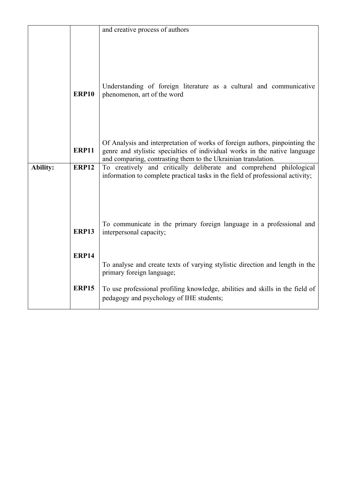|                          |                                                                                | and creative process of authors                                                                                                                           |
|--------------------------|--------------------------------------------------------------------------------|-----------------------------------------------------------------------------------------------------------------------------------------------------------|
|                          |                                                                                |                                                                                                                                                           |
|                          |                                                                                |                                                                                                                                                           |
|                          |                                                                                |                                                                                                                                                           |
|                          |                                                                                |                                                                                                                                                           |
|                          |                                                                                |                                                                                                                                                           |
|                          | Understanding of foreign literature as a cultural and communicative            |                                                                                                                                                           |
|                          | <b>ERP10</b>                                                                   | phenomenon, art of the word                                                                                                                               |
|                          |                                                                                |                                                                                                                                                           |
|                          |                                                                                |                                                                                                                                                           |
|                          |                                                                                |                                                                                                                                                           |
|                          |                                                                                |                                                                                                                                                           |
|                          | <b>ERP11</b>                                                                   | Of Analysis and interpretation of works of foreign authors, pinpointing the<br>genre and stylistic specialties of individual works in the native language |
|                          |                                                                                | and comparing, contrasting them to the Ukrainian translation.                                                                                             |
| Ability:<br><b>ERP12</b> |                                                                                | To creatively and critically deliberate and comprehend philological                                                                                       |
|                          | information to complete practical tasks in the field of professional activity; |                                                                                                                                                           |
|                          |                                                                                |                                                                                                                                                           |
|                          |                                                                                |                                                                                                                                                           |
|                          |                                                                                |                                                                                                                                                           |
|                          |                                                                                | To communicate in the primary foreign language in a professional and                                                                                      |
|                          | <b>ERP13</b>                                                                   | interpersonal capacity;                                                                                                                                   |
|                          |                                                                                |                                                                                                                                                           |
|                          | <b>ERP14</b>                                                                   |                                                                                                                                                           |
|                          |                                                                                | To analyse and create texts of varying stylistic direction and length in the                                                                              |
|                          | primary foreign language;                                                      |                                                                                                                                                           |
|                          |                                                                                |                                                                                                                                                           |
|                          | <b>ERP15</b>                                                                   | To use professional profiling knowledge, abilities and skills in the field of<br>pedagogy and psychology of IHE students;                                 |
|                          |                                                                                |                                                                                                                                                           |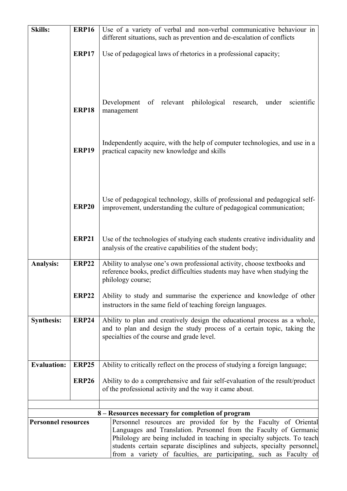| <b>Skills:</b>             | <b>ERP16</b>                                                       | Use of a variety of verbal and non-verbal communicative behaviour in                                                                                 |  |
|----------------------------|--------------------------------------------------------------------|------------------------------------------------------------------------------------------------------------------------------------------------------|--|
|                            |                                                                    | different situations, such as prevention and de-escalation of conflicts                                                                              |  |
|                            | <b>ERP17</b>                                                       | Use of pedagogical laws of rhetorics in a professional capacity;                                                                                     |  |
|                            |                                                                    |                                                                                                                                                      |  |
|                            |                                                                    |                                                                                                                                                      |  |
|                            |                                                                    |                                                                                                                                                      |  |
|                            |                                                                    |                                                                                                                                                      |  |
|                            |                                                                    | of relevant philological<br>Development<br>research,<br>scientific<br>under                                                                          |  |
|                            | <b>ERP18</b>                                                       | management                                                                                                                                           |  |
|                            |                                                                    |                                                                                                                                                      |  |
|                            |                                                                    |                                                                                                                                                      |  |
|                            | <b>ERP19</b>                                                       | Independently acquire, with the help of computer technologies, and use in a<br>practical capacity new knowledge and skills                           |  |
|                            |                                                                    |                                                                                                                                                      |  |
|                            |                                                                    |                                                                                                                                                      |  |
|                            |                                                                    |                                                                                                                                                      |  |
|                            |                                                                    |                                                                                                                                                      |  |
|                            | <b>ERP20</b>                                                       | Use of pedagogical technology, skills of professional and pedagogical self-<br>improvement, understanding the culture of pedagogical communication;  |  |
|                            |                                                                    |                                                                                                                                                      |  |
|                            |                                                                    |                                                                                                                                                      |  |
|                            | <b>ERP21</b>                                                       | Use of the technologies of studying each students creative individuality and                                                                         |  |
|                            |                                                                    | analysis of the creative capabilities of the student body;                                                                                           |  |
| <b>Analysis:</b>           | <b>ERP22</b>                                                       | Ability to analyse one's own professional activity, choose textbooks and                                                                             |  |
|                            |                                                                    | reference books, predict difficulties students may have when studying the                                                                            |  |
|                            |                                                                    | philology course;                                                                                                                                    |  |
|                            | <b>ERP22</b>                                                       | Ability to study and summarise the experience and knowledge of other                                                                                 |  |
|                            |                                                                    | instructors in the same field of teaching foreign languages.                                                                                         |  |
| <b>Synthesis:</b>          | <b>ERP24</b>                                                       | Ability to plan and creatively design the educational process as a whole,                                                                            |  |
|                            |                                                                    | and to plan and design the study process of a certain topic, taking the<br>specialties of the course and grade level.                                |  |
|                            |                                                                    |                                                                                                                                                      |  |
|                            |                                                                    |                                                                                                                                                      |  |
| <b>Evaluation:</b>         | <b>ERP25</b>                                                       | Ability to critically reflect on the process of studying a foreign language;                                                                         |  |
|                            | <b>ERP26</b>                                                       | Ability to do a comprehensive and fair self-evaluation of the result/product                                                                         |  |
|                            |                                                                    | of the professional activity and the way it came about.                                                                                              |  |
|                            |                                                                    |                                                                                                                                                      |  |
|                            | 8 – Resources necessary for completion of program                  |                                                                                                                                                      |  |
| <b>Personnel resources</b> |                                                                    | Personnel resources are provided for by the Faculty of Oriental                                                                                      |  |
|                            |                                                                    | Languages and Translation. Personnel from the Faculty of Germanic                                                                                    |  |
|                            |                                                                    | Philology are being included in teaching in specialty subjects. To teach<br>students certain separate disciplines and subjects, specialty personnel, |  |
|                            | from a variety of faculties, are participating, such as Faculty of |                                                                                                                                                      |  |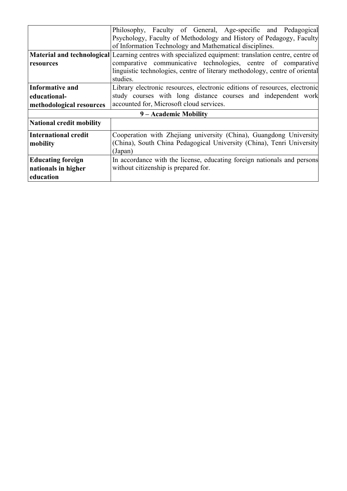|                                                              | Philosophy, Faculty of General, Age-specific and Pedagogical<br>Psychology, Faculty of Methodology and History of Pedagogy, Faculty<br>of Information Technology and Mathematical disciplines.                                                                    |  |  |
|--------------------------------------------------------------|-------------------------------------------------------------------------------------------------------------------------------------------------------------------------------------------------------------------------------------------------------------------|--|--|
| resources                                                    | Material and technological Learning centres with specialized equipment: translation centre, centre of<br>comparative communicative technologies, centre of comparative<br>linguistic technologies, centre of literary methodology, centre of oriental<br>studies. |  |  |
| Informative and<br>educational-<br>methodological resources  | Library electronic resources, electronic editions of resources, electronic<br>study courses with long distance courses and independent work<br>accounted for, Microsoft cloud services.                                                                           |  |  |
| 9 – Academic Mobility                                        |                                                                                                                                                                                                                                                                   |  |  |
| National credit mobility                                     |                                                                                                                                                                                                                                                                   |  |  |
| International credit<br>mobility                             | Cooperation with Zhejiang university (China), Guangdong University<br>(China), South China Pedagogical University (China), Tenri University<br>(Japan)                                                                                                            |  |  |
| <b>Educating foreign</b><br>nationals in higher<br>education | In accordance with the license, educating foreign nationals and persons<br>without citizenship is prepared for.                                                                                                                                                   |  |  |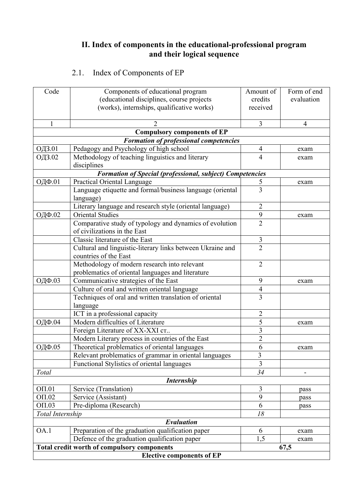### **ІІ. Index of components in the educational-professional program and their logical sequence**

# 2.1. Index of Components of EP

| Code                   | Components of educational program                                      | Amount of               | Form of end |  |
|------------------------|------------------------------------------------------------------------|-------------------------|-------------|--|
|                        | (educational disciplines, course projects                              | credits                 | evaluation  |  |
|                        | (works), internships, qualificative works)                             | received                |             |  |
|                        |                                                                        |                         |             |  |
| $\mathbf{1}$           |                                                                        | 3                       | 4           |  |
|                        | <b>Compulsory components of EP</b>                                     |                         |             |  |
|                        | <b>Formation of professional competencies</b>                          |                         |             |  |
| ОДЗ.01                 | Pedagogy and Psychology of high school                                 | $\overline{4}$          | exam        |  |
| ОДЗ.02                 | Methodology of teaching linguistics and literary                       | 4                       | exam        |  |
|                        | disciplines                                                            |                         |             |  |
|                        | <b>Formation of Special (professional, subject) Competencies</b>       |                         |             |  |
| ОДФ.01                 | <b>Practical Oriental Language</b>                                     | 5                       | exam        |  |
|                        | Language etiquette and formal/business language (oriental<br>language) | 3                       |             |  |
|                        | Literary language and research style (oriental language)               | 2                       |             |  |
| ОДФ.02                 | <b>Oriental Studies</b>                                                | 9                       | exam        |  |
|                        | Comparative study of typology and dynamics of evolution                | $\overline{2}$          |             |  |
|                        | of civilizations in the East                                           |                         |             |  |
|                        | Classic literature of the East                                         | 3                       |             |  |
|                        | Cultural and linguistic-literary links between Ukraine and             | $\overline{2}$          |             |  |
|                        | countries of the East                                                  |                         |             |  |
|                        | Methodology of modern research into relevant                           | $\overline{2}$          |             |  |
|                        | problematics of oriental languages and literature                      |                         |             |  |
| ОДФ.03                 | Communicative strategies of the East                                   | 9                       | exam        |  |
|                        | Culture of oral and written oriental language                          | $\overline{4}$          |             |  |
|                        | Techniques of oral and written translation of oriental                 | $\overline{3}$          |             |  |
|                        | language                                                               |                         |             |  |
|                        | ICT in a professional capacity                                         | $\overline{2}$          |             |  |
| ОДФ.04                 | Modern difficulties of Literature                                      | 5                       | exam        |  |
|                        | Foreign Literature of XX-XXI cr                                        | $\overline{\mathbf{3}}$ |             |  |
|                        | Modern Literary process in countries of the East                       | $\overline{2}$          |             |  |
| ОДФ.05                 | Theoretical problematics of oriental languages                         | 6                       | exam        |  |
|                        | Relevant problematics of grammar in oriental languages                 | $\overline{3}$          |             |  |
|                        | Functional Stylistics of oriental languages                            | 3                       |             |  |
| Total                  |                                                                        | 34                      |             |  |
|                        | <b>Internship</b>                                                      |                         |             |  |
| $O\Pi.01$              | Service (Translation)                                                  | 3                       | pass        |  |
| OT.02                  | Service (Assistant)                                                    | 9                       | pass        |  |
| $O\Pi.03$              | Pre-diploma (Research)                                                 | 6                       | pass        |  |
| 18<br>Total Internship |                                                                        |                         |             |  |
|                        | Evaluation                                                             |                         |             |  |
| OA.1                   | Preparation of the graduation qualification paper                      | 6                       | exam        |  |
|                        | Defence of the graduation qualification paper                          | 1,5                     | exam        |  |
|                        | <b>Total credit worth of compulsory components</b>                     |                         | 67,5        |  |
|                        | <b>Elective components of EP</b>                                       |                         |             |  |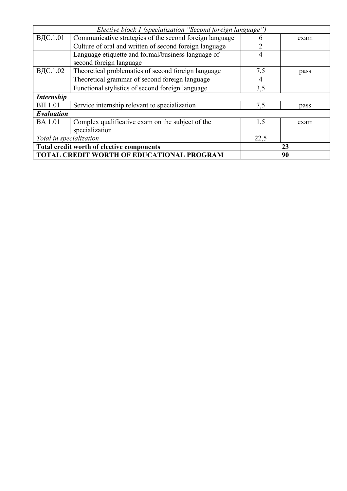| Elective block 1 (specialization "Second foreign language") |                                                         |      |      |  |  |  |  |  |  |  |
|-------------------------------------------------------------|---------------------------------------------------------|------|------|--|--|--|--|--|--|--|
| ВДС.1.01                                                    | Communicative strategies of the second foreign language |      | exam |  |  |  |  |  |  |  |
|                                                             | Culture of oral and written of second foreign language  |      |      |  |  |  |  |  |  |  |
|                                                             | Language etiquette and formal/business language of      | 4    |      |  |  |  |  |  |  |  |
|                                                             | second foreign language                                 |      |      |  |  |  |  |  |  |  |
| ВДС.1.02                                                    | Theoretical problematics of second foreign language     | 7,5  | pass |  |  |  |  |  |  |  |
|                                                             | Theoretical grammar of second foreign language          | 4    |      |  |  |  |  |  |  |  |
|                                                             | Functional stylistics of second foreign language        | 3,5  |      |  |  |  |  |  |  |  |
| <b>Internship</b>                                           |                                                         |      |      |  |  |  |  |  |  |  |
| $B\Pi$ 1.01                                                 | Service internship relevant to specialization           | 7,5  | pass |  |  |  |  |  |  |  |
| Evaluation                                                  |                                                         |      |      |  |  |  |  |  |  |  |
| <b>BA</b> 1.01                                              | Complex qualificative exam on the subject of the        | 1,5  | exam |  |  |  |  |  |  |  |
|                                                             | specialization                                          |      |      |  |  |  |  |  |  |  |
| Total in specialization                                     |                                                         | 22,5 |      |  |  |  |  |  |  |  |
|                                                             | Total credit worth of elective components               | 23   |      |  |  |  |  |  |  |  |
|                                                             | TOTAL CREDIT WORTH OF EDUCATIONAL PROGRAM               | 90   |      |  |  |  |  |  |  |  |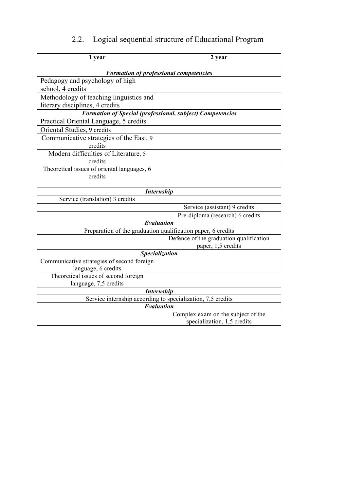# 2.2. Logical sequential structure of Educational Program

| 1 year                                                      | 2 year                                                           |  |  |  |  |  |  |  |  |  |  |
|-------------------------------------------------------------|------------------------------------------------------------------|--|--|--|--|--|--|--|--|--|--|
| <b>Formation of professional competencies</b>               |                                                                  |  |  |  |  |  |  |  |  |  |  |
| Pedagogy and psychology of high                             |                                                                  |  |  |  |  |  |  |  |  |  |  |
| school, 4 credits                                           |                                                                  |  |  |  |  |  |  |  |  |  |  |
| Methodology of teaching linguistics and                     |                                                                  |  |  |  |  |  |  |  |  |  |  |
| literary disciplines, 4 credits                             |                                                                  |  |  |  |  |  |  |  |  |  |  |
|                                                             | <b>Formation of Special (professional, subject) Competencies</b> |  |  |  |  |  |  |  |  |  |  |
| Practical Oriental Language, 5 credits                      |                                                                  |  |  |  |  |  |  |  |  |  |  |
| Oriental Studies, 9 credits                                 |                                                                  |  |  |  |  |  |  |  |  |  |  |
| Communicative strategies of the East, 9                     |                                                                  |  |  |  |  |  |  |  |  |  |  |
| credits                                                     |                                                                  |  |  |  |  |  |  |  |  |  |  |
| Modern difficulties of Literature, 5                        |                                                                  |  |  |  |  |  |  |  |  |  |  |
| credits                                                     |                                                                  |  |  |  |  |  |  |  |  |  |  |
| Theoretical issues of oriental languages, 6                 |                                                                  |  |  |  |  |  |  |  |  |  |  |
| credits                                                     |                                                                  |  |  |  |  |  |  |  |  |  |  |
|                                                             |                                                                  |  |  |  |  |  |  |  |  |  |  |
| <b>Internship</b>                                           |                                                                  |  |  |  |  |  |  |  |  |  |  |
| Service (translation) 3 credits                             | Service (assistant) 9 credits                                    |  |  |  |  |  |  |  |  |  |  |
|                                                             | Pre-diploma (research) 6 credits                                 |  |  |  |  |  |  |  |  |  |  |
|                                                             | Evaluation                                                       |  |  |  |  |  |  |  |  |  |  |
|                                                             | Preparation of the graduation qualification paper, 6 credits     |  |  |  |  |  |  |  |  |  |  |
|                                                             | Defence of the graduation qualification                          |  |  |  |  |  |  |  |  |  |  |
|                                                             | paper, 1,5 credits                                               |  |  |  |  |  |  |  |  |  |  |
| Specialization                                              |                                                                  |  |  |  |  |  |  |  |  |  |  |
| Communicative strategies of second foreign                  |                                                                  |  |  |  |  |  |  |  |  |  |  |
| language, 6 credits                                         |                                                                  |  |  |  |  |  |  |  |  |  |  |
| Theoretical issues of second foreign                        |                                                                  |  |  |  |  |  |  |  |  |  |  |
| language, 7,5 credits                                       |                                                                  |  |  |  |  |  |  |  |  |  |  |
| <b>Internship</b>                                           |                                                                  |  |  |  |  |  |  |  |  |  |  |
| Service internship according to specialization, 7,5 credits |                                                                  |  |  |  |  |  |  |  |  |  |  |
| Evaluation                                                  |                                                                  |  |  |  |  |  |  |  |  |  |  |
|                                                             | Complex exam on the subject of the                               |  |  |  |  |  |  |  |  |  |  |
|                                                             | specialization, 1,5 credits                                      |  |  |  |  |  |  |  |  |  |  |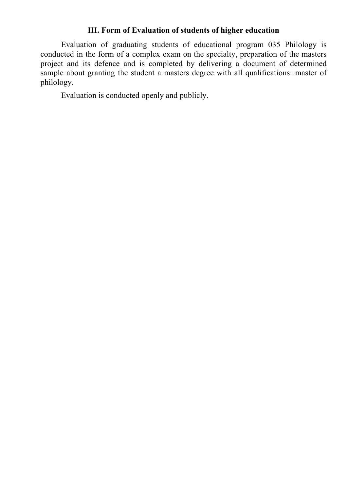# **ІІІ. Form of Evaluation of students of higher education**

Evaluation of graduating students of educational program 035 Philology is conducted in the form of a complex exam on the specialty, preparation of the masters project and its defence and is completed by delivering a document of determined sample about granting the student a masters degree with all qualifications: master of philology.

Evaluation is conducted openly and publicly.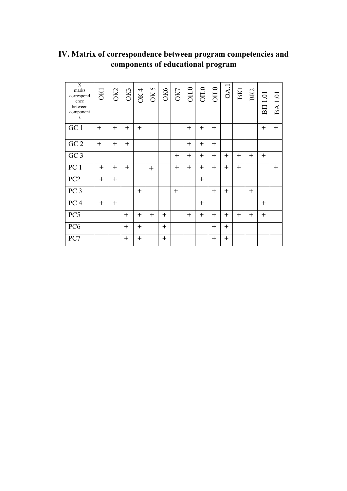| $\overline{X}$<br>marks<br>correspond<br>ence<br>between<br>component<br>S | <b>OKI</b> | OK2    | O <sub>K3</sub> | <b>OK4</b> | OK 5   | <b>OK6</b> | OK7    | OII.0  | $\overline{\text{OII.0}}$ | $\overline{\text{O}}\text{II}.0$ | OA.1   | <b>BK1</b> | BK2 | $1.01\,$<br>BП | <b>BA1.01</b> |
|----------------------------------------------------------------------------|------------|--------|-----------------|------------|--------|------------|--------|--------|---------------------------|----------------------------------|--------|------------|-----|----------------|---------------|
| GC 1                                                                       | $+$        | $+$    | $+$             | $+$        |        |            |        | $+$    | $^{+}$                    | $+$                              |        |            |     | $+$            | $^{+}$        |
| $\rm GC$ $2$                                                               | $+$        | $+$    | $+$             |            |        |            |        | $+$    | $+$                       | $+$                              |        |            |     |                |               |
| GC <sub>3</sub>                                                            |            |        |                 |            |        |            | $\pm$  | $+$    | $+$                       | $^{+}$                           | $^{+}$ | $^{+}$     | $+$ | $+$            |               |
| PC 1                                                                       | $^{+}$     | $^{+}$ | $^{+}$          |            | $\pm$  |            | $^{+}$ | $^{+}$ | $+$                       | $^{+}$                           | $^{+}$ | $+$        |     |                | $+$           |
| PC <sub>2</sub>                                                            | $+$        | $+$    |                 |            |        |            |        |        | $+$                       |                                  |        |            |     |                |               |
| PC <sub>3</sub>                                                            |            |        |                 | $+$        |        |            | $+$    |        |                           | $+$                              | $^{+}$ |            | $+$ |                |               |
| PC <sub>4</sub>                                                            | $+$        | $+$    |                 |            |        |            |        |        | $+$                       |                                  |        |            |     | $+$            |               |
| PC5                                                                        |            |        | $+$             | $+$        | $^{+}$ | $+$        |        | $^{+}$ | $+$                       | $^{+}$                           | $^{+}$ | $^{+}$     | $+$ | $+$            |               |
| PC <sub>6</sub>                                                            |            |        | $^{+}$          | $+$        |        | $+$        |        |        |                           | $+$                              | $+$    |            |     |                |               |
| PC7                                                                        |            |        | $^{+}$          | $^{+}$     |        | $\pm$      |        |        |                           | $^{+}$                           | $^{+}$ |            |     |                |               |

# **IV. Matrix of correspondence between program competencies and components of educational program**